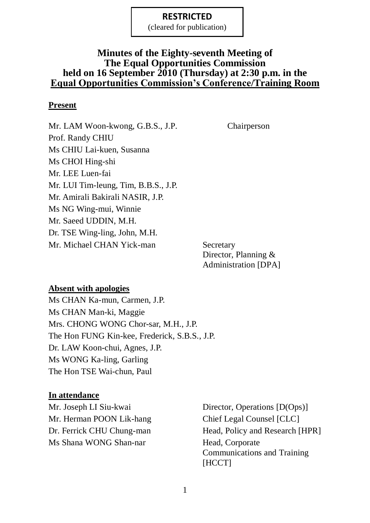(cleared for publication)

### **Minutes of the Eighty-seventh Meeting of The Equal Opportunities Commission held on 16 September 2010 (Thursday) at 2:30 p.m. in the Equal Opportunities Commission's Conference/Training Room**

#### **Present**

Mr. LAM Woon-kwong, G.B.S., J.P. Chairperson Prof. Randy CHIU Ms CHIU Lai-kuen, Susanna Ms CHOI Hing-shi Mr. LEE Luen-fai Mr. LUI Tim-leung, Tim, B.B.S., J.P. Mr. Amirali Bakirali NASIR, J.P. Ms NG Wing-mui, Winnie Mr. Saeed UDDIN, M.H. Dr. TSE Wing-ling, John, M.H. Mr. Michael CHAN Yick-man Secretary

Director, Planning & Administration [DPA]

#### **Absent with apologies**

Ms CHAN Ka-mun, Carmen, J.P. Ms CHAN Man-ki, Maggie Mrs. CHONG WONG Chor-sar, M.H., J.P. The Hon FUNG Kin-kee, Frederick, S.B.S., J.P. Dr. LAW Koon-chui, Agnes, J.P. Ms WONG Ka-ling, Garling The Hon TSE Wai-chun, Paul

#### **In attendance**

Mr. Herman POON Lik-hang Chief Legal Counsel [CLC] Ms Shana WONG Shan-nar Head, Corporate

Mr. Joseph LI Siu-kwai Director, Operations [D(Ops)] Dr. Ferrick CHU Chung-man Head, Policy and Research [HPR] Communications and Training [HCCT]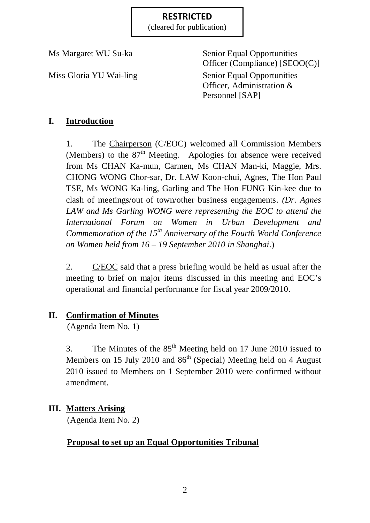(cleared for publication)

Ms Margaret WU Su-ka Senior Equal Opportunities Officer (Compliance) [SEOO(C)] Miss Gloria YU Wai-ling Senior Equal Opportunities Officer, Administration & Personnel [SAP]

# **I. Introduction**

1. The Chairperson (C/EOC) welcomed all Commission Members (Members) to the  $87<sup>th</sup>$  Meeting. Apologies for absence were received from Ms CHAN Ka-mun, Carmen, Ms CHAN Man-ki, Maggie, Mrs. CHONG WONG Chor-sar, Dr. LAW Koon-chui, Agnes, The Hon Paul TSE, Ms WONG Ka-ling, Garling and The Hon FUNG Kin-kee due to clash of meetings/out of town/other business engagements. *(Dr. Agnes LAW and Ms Garling WONG were representing the EOC to attend the International Forum on Women in Urban Development and Commemoration of the 15th Anniversary of the Fourth World Conference on Women held from 16 – 19 September 2010 in Shanghai*.)

2. C/EOC said that a press briefing would be held as usual after the meeting to brief on major items discussed in this meeting and EOC's operational and financial performance for fiscal year 2009/2010.

# **II. Confirmation of Minutes**

(Agenda Item No. 1)

3. The Minutes of the  $85<sup>th</sup>$  Meeting held on 17 June 2010 issued to Members on 15 July 2010 and  $86<sup>th</sup>$  (Special) Meeting held on 4 August 2010 issued to Members on 1 September 2010 were confirmed without amendment.

# **III. Matters Arising**

(Agenda Item No. 2)

# **Proposal to set up an Equal Opportunities Tribunal**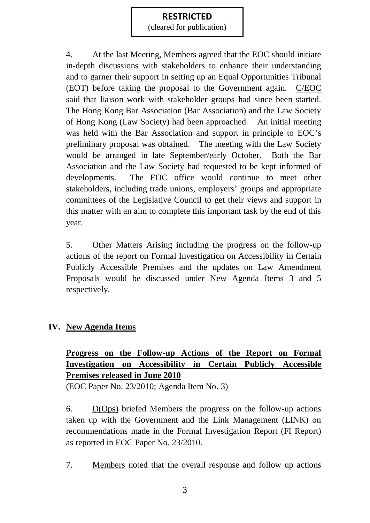(cleared for publication)

4. At the last Meeting, Members agreed that the EOC should initiate in-depth discussions with stakeholders to enhance their understanding and to garner their support in setting up an Equal Opportunities Tribunal (EOT) before taking the proposal to the Government again. C/EOC said that liaison work with stakeholder groups had since been started. The Hong Kong Bar Association (Bar Association) and the Law Society of Hong Kong (Law Society) had been approached. An initial meeting was held with the Bar Association and support in principle to EOC's preliminary proposal was obtained. The meeting with the Law Society would be arranged in late September/early October. Both the Bar Association and the Law Society had requested to be kept informed of developments. The EOC office would continue to meet other stakeholders, including trade unions, employers' groups and appropriate committees of the Legislative Council to get their views and support in this matter with an aim to complete this important task by the end of this year.

5. Other Matters Arising including the progress on the follow-up actions of the report on Formal Investigation on Accessibility in Certain Publicly Accessible Premises and the updates on Law Amendment Proposals would be discussed under New Agenda Items 3 and 5 respectively.

# **IV. New Agenda Items**

# **Progress on the Follow-up Actions of the Report on Formal Investigation on Accessibility in Certain Publicly Accessible Premises released in June 2010**

(EOC Paper No. 23/2010; Agenda Item No. 3)

6. D(Ops) briefed Members the progress on the follow-up actions taken up with the Government and the Link Management (LINK) on recommendations made in the Formal Investigation Report (FI Report) as reported in EOC Paper No. 23/2010.

7. Members noted that the overall response and follow up actions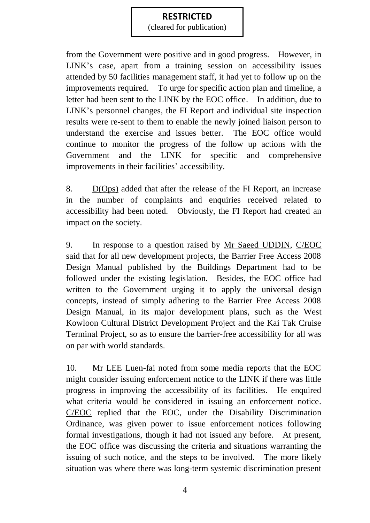(cleared for publication)

from the Government were positive and in good progress. However, in LINK's case, apart from a training session on accessibility issues attended by 50 facilities management staff, it had yet to follow up on the improvements required. To urge for specific action plan and timeline, a letter had been sent to the LINK by the EOC office. In addition, due to LINK's personnel changes, the FI Report and individual site inspection results were re-sent to them to enable the newly joined liaison person to understand the exercise and issues better. The EOC office would continue to monitor the progress of the follow up actions with the Government and the LINK for specific and comprehensive improvements in their facilities' accessibility.

8. D(Ops) added that after the release of the FI Report, an increase in the number of complaints and enquiries received related to accessibility had been noted. Obviously, the FI Report had created an impact on the society.

9. In response to a question raised by Mr Saeed UDDIN, C/EOC said that for all new development projects, the Barrier Free Access 2008 Design Manual published by the Buildings Department had to be followed under the existing legislation. Besides, the EOC office had written to the Government urging it to apply the universal design concepts, instead of simply adhering to the Barrier Free Access 2008 Design Manual, in its major development plans, such as the West Kowloon Cultural District Development Project and the Kai Tak Cruise Terminal Project, so as to ensure the barrier-free accessibility for all was on par with world standards.

10. Mr LEE Luen-fai noted from some media reports that the EOC might consider issuing enforcement notice to the LINK if there was little progress in improving the accessibility of its facilities. He enquired what criteria would be considered in issuing an enforcement notice. C/EOC replied that the EOC, under the Disability Discrimination Ordinance, was given power to issue enforcement notices following formal investigations, though it had not issued any before. At present, the EOC office was discussing the criteria and situations warranting the issuing of such notice, and the steps to be involved. The more likely situation was where there was long-term systemic discrimination present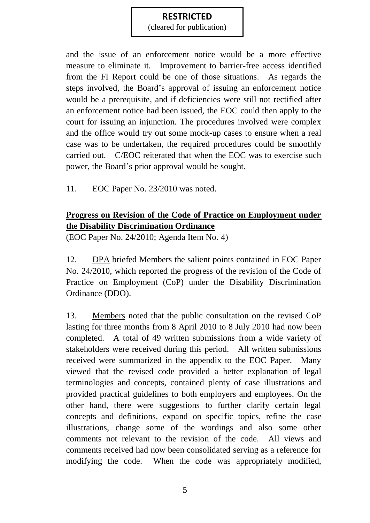(cleared for publication)

and the issue of an enforcement notice would be a more effective measure to eliminate it. Improvement to barrier-free access identified from the FI Report could be one of those situations. As regards the steps involved, the Board's approval of issuing an enforcement notice would be a prerequisite, and if deficiencies were still not rectified after an enforcement notice had been issued, the EOC could then apply to the court for issuing an injunction. The procedures involved were complex and the office would try out some mock-up cases to ensure when a real case was to be undertaken, the required procedures could be smoothly carried out. C/EOC reiterated that when the EOC was to exercise such power, the Board's prior approval would be sought.

11. EOC Paper No. 23/2010 was noted.

# **Progress on Revision of the Code of Practice on Employment under the Disability Discrimination Ordinance**

(EOC Paper No. 24/2010; Agenda Item No. 4)

12. DPA briefed Members the salient points contained in EOC Paper No. 24/2010, which reported the progress of the revision of the Code of Practice on Employment (CoP) under the Disability Discrimination Ordinance (DDO).

13. Members noted that the public consultation on the revised CoP lasting for three months from 8 April 2010 to 8 July 2010 had now been completed. A total of 49 written submissions from a wide variety of stakeholders were received during this period. All written submissions received were summarized in the appendix to the EOC Paper. Many viewed that the revised code provided a better explanation of legal terminologies and concepts, contained plenty of case illustrations and provided practical guidelines to both employers and employees. On the other hand, there were suggestions to further clarify certain legal concepts and definitions, expand on specific topics, refine the case illustrations, change some of the wordings and also some other comments not relevant to the revision of the code. All views and comments received had now been consolidated serving as a reference for modifying the code. When the code was appropriately modified,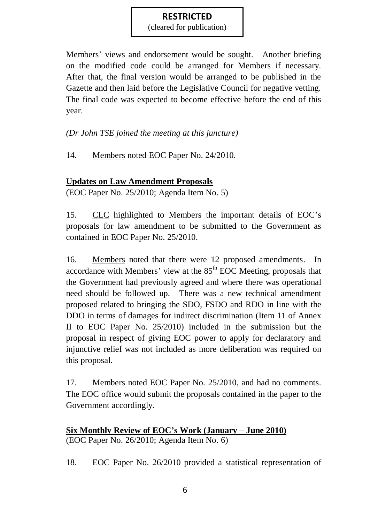(cleared for publication)

Members' views and endorsement would be sought. Another briefing on the modified code could be arranged for Members if necessary. After that, the final version would be arranged to be published in the Gazette and then laid before the Legislative Council for negative vetting. The final code was expected to become effective before the end of this year.

*(Dr John TSE joined the meeting at this juncture)*

14. Members noted EOC Paper No. 24/2010.

# **Updates on Law Amendment Proposals**

(EOC Paper No. 25/2010; Agenda Item No. 5)

15. CLC highlighted to Members the important details of EOC's proposals for law amendment to be submitted to the Government as contained in EOC Paper No. 25/2010.

16. Members noted that there were 12 proposed amendments. In accordance with Members' view at the  $85<sup>th</sup>$  EOC Meeting, proposals that the Government had previously agreed and where there was operational need should be followed up. There was a new technical amendment proposed related to bringing the SDO, FSDO and RDO in line with the DDO in terms of damages for indirect discrimination (Item 11 of Annex II to EOC Paper No. 25/2010) included in the submission but the proposal in respect of giving EOC power to apply for declaratory and injunctive relief was not included as more deliberation was required on this proposal.

17. Members noted EOC Paper No. 25/2010, and had no comments. The EOC office would submit the proposals contained in the paper to the Government accordingly.

# **Six Monthly Review of EOC's Work (January – June 2010)** (EOC Paper No. 26/2010; Agenda Item No. 6)

18. EOC Paper No. 26/2010 provided a statistical representation of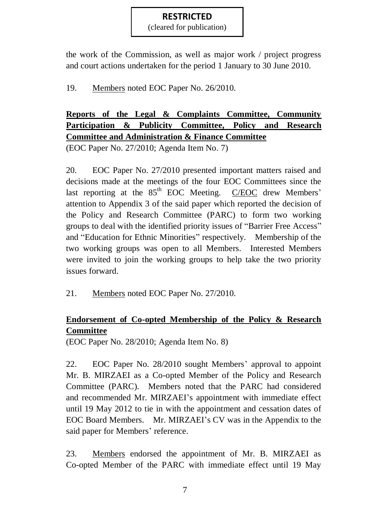(cleared for publication)

the work of the Commission, as well as major work / project progress and court actions undertaken for the period 1 January to 30 June 2010.

19. Members noted EOC Paper No. 26/2010.

**Reports of the Legal & Complaints Committee, Community Participation & Publicity Committee, Policy and Research Committee and Administration & Finance Committee**

(EOC Paper No. 27/2010; Agenda Item No. 7)

20. EOC Paper No. 27/2010 presented important matters raised and decisions made at the meetings of the four EOC Committees since the last reporting at the  $85<sup>th</sup>$  EOC Meeting. C/EOC drew Members' attention to Appendix 3 of the said paper which reported the decision of the Policy and Research Committee (PARC) to form two working groups to deal with the identified priority issues of "Barrier Free Access" and "Education for Ethnic Minorities" respectively. Membership of the two working groups was open to all Members. Interested Members were invited to join the working groups to help take the two priority issues forward.

21. Members noted EOC Paper No. 27/2010.

# **Endorsement of Co-opted Membership of the Policy & Research Committee**

(EOC Paper No. 28/2010; Agenda Item No. 8)

22. EOC Paper No. 28/2010 sought Members' approval to appoint Mr. B. MIRZAEI as a Co-opted Member of the Policy and Research Committee (PARC). Members noted that the PARC had considered and recommended Mr. MIRZAEI's appointment with immediate effect until 19 May 2012 to tie in with the appointment and cessation dates of EOC Board Members. Mr. MIRZAEI's CV was in the Appendix to the said paper for Members' reference.

23. Members endorsed the appointment of Mr. B. MIRZAEI as Co-opted Member of the PARC with immediate effect until 19 May